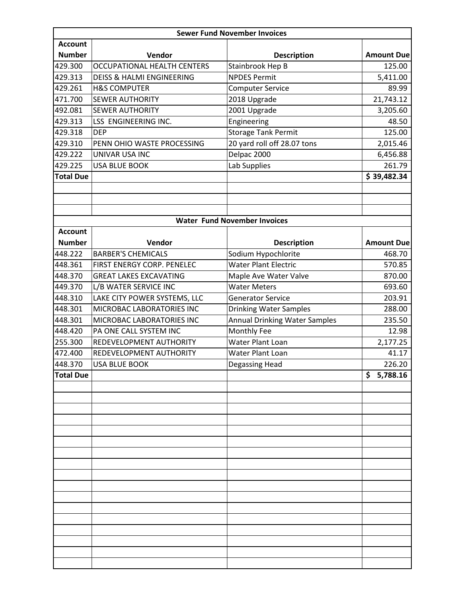| <b>Sewer Fund November Invoices</b> |                                                           |                                                                       |                   |  |  |
|-------------------------------------|-----------------------------------------------------------|-----------------------------------------------------------------------|-------------------|--|--|
| <b>Account</b>                      |                                                           |                                                                       |                   |  |  |
| <b>Number</b>                       | Vendor                                                    | <b>Description</b>                                                    | <b>Amount Due</b> |  |  |
| 429.300                             | <b>OCCUPATIONAL HEALTH CENTERS</b>                        | Stainbrook Hep B                                                      | 125.00            |  |  |
| 429.313                             | <b>DEISS &amp; HALMI ENGINEERING</b>                      | <b>NPDES Permit</b>                                                   | 5,411.00          |  |  |
| 429.261                             | <b>H&amp;S COMPUTER</b>                                   | <b>Computer Service</b>                                               | 89.99             |  |  |
| 471.700                             | <b>SEWER AUTHORITY</b>                                    | 2018 Upgrade                                                          | 21,743.12         |  |  |
| 492.081                             | <b>SEWER AUTHORITY</b>                                    | 2001 Upgrade                                                          | 3,205.60          |  |  |
| 429.313                             | LSS ENGINEERING INC.                                      | Engineering                                                           | 48.50             |  |  |
| 429.318                             | <b>DEP</b>                                                | <b>Storage Tank Permit</b>                                            | 125.00            |  |  |
| 429.310                             | PENN OHIO WASTE PROCESSING                                | 20 yard roll off 28.07 tons                                           | 2,015.46          |  |  |
| 429.222                             | UNIVAR USA INC                                            | Delpac 2000                                                           | 6,456.88          |  |  |
| 429.225                             | <b>USA BLUE BOOK</b>                                      | Lab Supplies                                                          | 261.79            |  |  |
| <b>Total Due</b>                    |                                                           |                                                                       | \$39,482.34       |  |  |
|                                     |                                                           |                                                                       |                   |  |  |
|                                     |                                                           |                                                                       |                   |  |  |
|                                     |                                                           |                                                                       |                   |  |  |
|                                     |                                                           | <b>Water Fund November Invoices</b>                                   |                   |  |  |
| <b>Account</b>                      |                                                           |                                                                       |                   |  |  |
| <b>Number</b>                       | Vendor                                                    | <b>Description</b>                                                    | <b>Amount Due</b> |  |  |
| 448.222                             | <b>BARBER'S CHEMICALS</b>                                 | Sodium Hypochlorite                                                   | 468.70            |  |  |
| 448.361                             | FIRST ENERGY CORP. PENELEC                                | <b>Water Plant Electric</b>                                           | 570.85            |  |  |
| 448.370                             | <b>GREAT LAKES EXCAVATING</b>                             | Maple Ave Water Valve                                                 | 870.00            |  |  |
| 449.370                             | L/B WATER SERVICE INC                                     | <b>Water Meters</b>                                                   | 693.60            |  |  |
| 448.310<br>448.301                  | LAKE CITY POWER SYSTEMS, LLC<br>MICROBAC LABORATORIES INC | <b>Generator Service</b>                                              | 203.91            |  |  |
| 448.301                             | MICROBAC LABORATORIES INC                                 | <b>Drinking Water Samples</b><br><b>Annual Drinking Water Samples</b> | 288.00<br>235.50  |  |  |
| 448.420                             | PA ONE CALL SYSTEM INC                                    | Monthly Fee                                                           | 12.98             |  |  |
| 255.300                             | REDEVELOPMENT AUTHORITY                                   | Water Plant Loan                                                      | 2,177.25          |  |  |
| 472.400                             | REDEVELOPMENT AUTHORITY                                   | Water Plant Loan                                                      | 41.17             |  |  |
| 448.370                             | <b>USA BLUE BOOK</b>                                      | Degassing Head                                                        | 226.20            |  |  |
| <b>Total Due</b>                    |                                                           |                                                                       | \$5,788.16        |  |  |
|                                     |                                                           |                                                                       |                   |  |  |
|                                     |                                                           |                                                                       |                   |  |  |
|                                     |                                                           |                                                                       |                   |  |  |
|                                     |                                                           |                                                                       |                   |  |  |
|                                     |                                                           |                                                                       |                   |  |  |
|                                     |                                                           |                                                                       |                   |  |  |
|                                     |                                                           |                                                                       |                   |  |  |
|                                     |                                                           |                                                                       |                   |  |  |
|                                     |                                                           |                                                                       |                   |  |  |
|                                     |                                                           |                                                                       |                   |  |  |
|                                     |                                                           |                                                                       |                   |  |  |
|                                     |                                                           |                                                                       |                   |  |  |
|                                     |                                                           |                                                                       |                   |  |  |
|                                     |                                                           |                                                                       |                   |  |  |
|                                     |                                                           |                                                                       |                   |  |  |
|                                     |                                                           |                                                                       |                   |  |  |
|                                     |                                                           |                                                                       |                   |  |  |